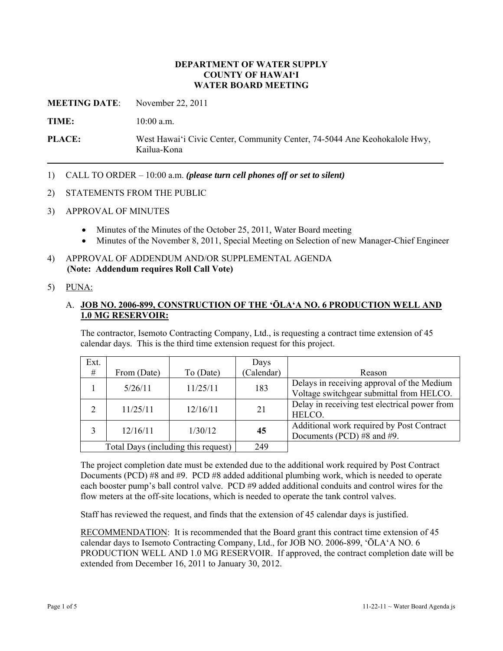#### **DEPARTMENT OF WATER SUPPLY COUNTY OF HAWAI'I WATER BOARD MEETING**

**MEETING DATE**: November 22, 2011

**TIME:** 10:00 a.m.

**PLACE:** West Hawai'i Civic Center, Community Center, 74-5044 Ane Keohokalole Hwy, Kailua-Kona

- 1) CALL TO ORDER 10:00 a.m. *(please turn cell phones off or set to silent)*
- 2) STATEMENTS FROM THE PUBLIC
- 3) APPROVAL OF MINUTES
	- Minutes of the Minutes of the October 25, 2011, Water Board meeting
	- Minutes of the November 8, 2011, Special Meeting on Selection of new Manager-Chief Engineer
- 4) APPROVAL OF ADDENDUM AND/OR SUPPLEMENTAL AGENDA **(Note: Addendum requires Roll Call Vote)**

## 5) PUNA:

### A. **JOB NO. 2006-899, CONSTRUCTION OF THE 'ŌLA'A NO. 6 PRODUCTION WELL AND 1.0 MG RESERVOIR:**

The contractor, Isemoto Contracting Company, Ltd., is requesting a contract time extension of 45 calendar days. This is the third time extension request for this project.

| Ext.                                |             |           | Days       |                                                                                        |
|-------------------------------------|-------------|-----------|------------|----------------------------------------------------------------------------------------|
| #                                   | From (Date) | To (Date) | (Calendar) | Reason                                                                                 |
|                                     | 5/26/11     | 11/25/11  | 183        | Delays in receiving approval of the Medium<br>Voltage switchgear submittal from HELCO. |
| $\overline{2}$                      | 11/25/11    | 12/16/11  | 21         | Delay in receiving test electrical power from<br>HELCO.                                |
| 3                                   | 12/16/11    | 1/30/12   | 45         | Additional work required by Post Contract<br>Documents (PCD) #8 and #9.                |
| Total Days (including this request) |             |           | 249        |                                                                                        |

The project completion date must be extended due to the additional work required by Post Contract Documents (PCD) #8 and #9. PCD #8 added additional plumbing work, which is needed to operate each booster pump's ball control valve. PCD #9 added additional conduits and control wires for the flow meters at the off-site locations, which is needed to operate the tank control valves.

Staff has reviewed the request, and finds that the extension of 45 calendar days is justified.

RECOMMENDATION: It is recommended that the Board grant this contract time extension of 45 calendar days to Isemoto Contracting Company, Ltd., for JOB NO. 2006-899, 'ŌLA'A NO. 6 PRODUCTION WELL AND 1.0 MG RESERVOIR. If approved, the contract completion date will be extended from December 16, 2011 to January 30, 2012.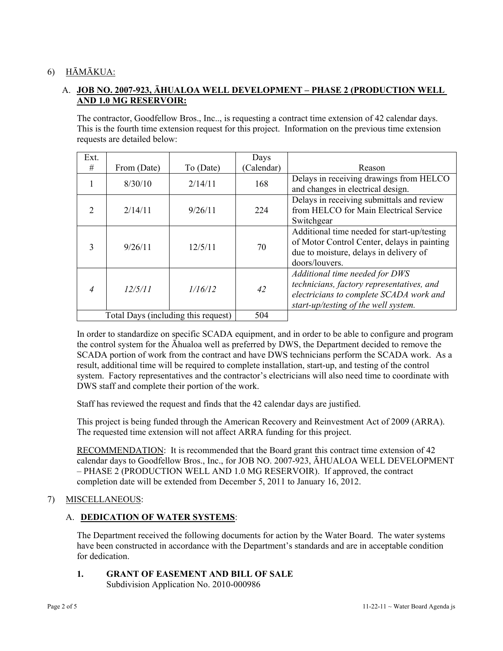# 6) HĀMĀKUA:

# A. **JOB NO. 2007-923, ĀHUALOA WELL DEVELOPMENT – PHASE 2 (PRODUCTION WELL AND 1.0 MG RESERVOIR:**

The contractor, Goodfellow Bros., Inc.., is requesting a contract time extension of 42 calendar days. This is the fourth time extension request for this project. Information on the previous time extension requests are detailed below:

| Ext.                                |             |           | Days       |                                                                                                                                                                |
|-------------------------------------|-------------|-----------|------------|----------------------------------------------------------------------------------------------------------------------------------------------------------------|
| #                                   | From (Date) | To (Date) | (Calendar) | Reason                                                                                                                                                         |
|                                     | 8/30/10     | 2/14/11   | 168        | Delays in receiving drawings from HELCO<br>and changes in electrical design.                                                                                   |
| $\mathcal{D}_{\mathcal{L}}$         | 2/14/11     | 9/26/11   | 224        | Delays in receiving submittals and review<br>from HELCO for Main Electrical Service<br>Switchgear                                                              |
| $\mathbf{3}$                        | 9/26/11     | 12/5/11   | 70         | Additional time needed for start-up/testing<br>of Motor Control Center, delays in painting<br>due to moisture, delays in delivery of<br>doors/louvers.         |
| $\overline{4}$                      | 12/5/11     | 1/16/12   | 42         | Additional time needed for DWS<br>technicians, factory representatives, and<br>electricians to complete SCADA work and<br>start-up/testing of the well system. |
| Total Days (including this request) |             |           | 504        |                                                                                                                                                                |

In order to standardize on specific SCADA equipment, and in order to be able to configure and program the control system for the Āhualoa well as preferred by DWS, the Department decided to remove the SCADA portion of work from the contract and have DWS technicians perform the SCADA work. As a result, additional time will be required to complete installation, start-up, and testing of the control system. Factory representatives and the contractor's electricians will also need time to coordinate with DWS staff and complete their portion of the work.

Staff has reviewed the request and finds that the 42 calendar days are justified.

This project is being funded through the American Recovery and Reinvestment Act of 2009 (ARRA). The requested time extension will not affect ARRA funding for this project.

RECOMMENDATION: It is recommended that the Board grant this contract time extension of 42 calendar days to Goodfellow Bros., Inc., for JOB NO. 2007-923, ĀHUALOA WELL DEVELOPMENT – PHASE 2 (PRODUCTION WELL AND 1.0 MG RESERVOIR). If approved, the contract completion date will be extended from December 5, 2011 to January 16, 2012.

#### 7) MISCELLANEOUS:

# A. **DEDICATION OF WATER SYSTEMS**:

The Department received the following documents for action by the Water Board. The water systems have been constructed in accordance with the Department's standards and are in acceptable condition for dedication.

# **1. GRANT OF EASEMENT AND BILL OF SALE**

Subdivision Application No. 2010-000986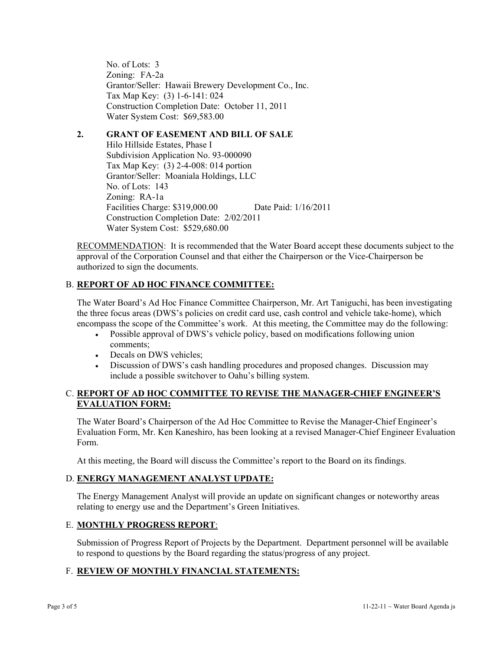No. of Lots: 3 Zoning: FA-2a Grantor/Seller: Hawaii Brewery Development Co., Inc. Tax Map Key: (3) 1-6-141: 024 Construction Completion Date: October 11, 2011 Water System Cost: \$69,583.00

## **2. GRANT OF EASEMENT AND BILL OF SALE**

Hilo Hillside Estates, Phase I Subdivision Application No. 93-000090 Tax Map Key: (3) 2-4-008: 014 portion Grantor/Seller: Moaniala Holdings, LLC No. of Lots: 143 Zoning: RA-1a Facilities Charge: \$319,000.00 Date Paid: 1/16/2011 Construction Completion Date: 2/02/2011 Water System Cost: \$529,680.00

RECOMMENDATION: It is recommended that the Water Board accept these documents subject to the approval of the Corporation Counsel and that either the Chairperson or the Vice-Chairperson be authorized to sign the documents.

# B. **REPORT OF AD HOC FINANCE COMMITTEE:**

The Water Board's Ad Hoc Finance Committee Chairperson, Mr. Art Taniguchi, has been investigating the three focus areas (DWS's policies on credit card use, cash control and vehicle take-home), which encompass the scope of the Committee's work. At this meeting, the Committee may do the following:

- Possible approval of DWS's vehicle policy, based on modifications following union comments;
- Decals on DWS vehicles:
- Discussion of DWS's cash handling procedures and proposed changes. Discussion may include a possible switchover to Oahu's billing system.

## C. **REPORT OF AD HOC COMMITTEE TO REVISE THE MANAGER-CHIEF ENGINEER'S EVALUATION FORM:**

The Water Board's Chairperson of the Ad Hoc Committee to Revise the Manager-Chief Engineer's Evaluation Form, Mr. Ken Kaneshiro, has been looking at a revised Manager-Chief Engineer Evaluation Form.

At this meeting, the Board will discuss the Committee's report to the Board on its findings.

#### D. **ENERGY MANAGEMENT ANALYST UPDATE:**

The Energy Management Analyst will provide an update on significant changes or noteworthy areas relating to energy use and the Department's Green Initiatives.

#### E. **MONTHLY PROGRESS REPORT**:

Submission of Progress Report of Projects by the Department. Department personnel will be available to respond to questions by the Board regarding the status/progress of any project.

#### F. **REVIEW OF MONTHLY FINANCIAL STATEMENTS:**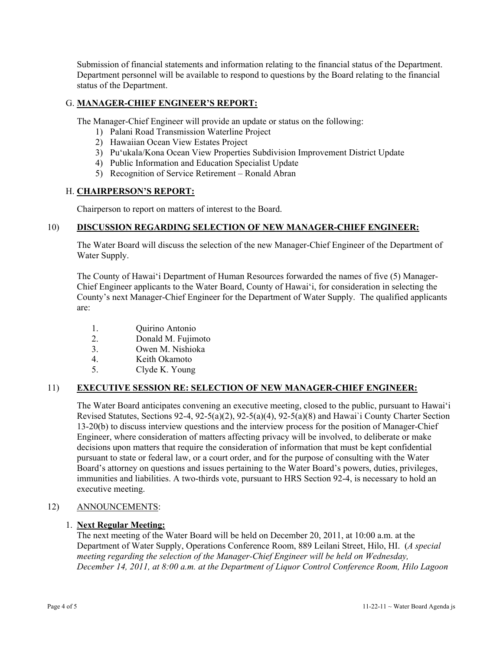Submission of financial statements and information relating to the financial status of the Department. Department personnel will be available to respond to questions by the Board relating to the financial status of the Department.

## G. **MANAGER-CHIEF ENGINEER'S REPORT:**

The Manager-Chief Engineer will provide an update or status on the following:

- 1) Palani Road Transmission Waterline Project
- 2) Hawaiian Ocean View Estates Project
- 3) Pu'ukala/Kona Ocean View Properties Subdivision Improvement District Update
- 4) Public Information and Education Specialist Update
- 5) Recognition of Service Retirement Ronald Abran

#### H. **CHAIRPERSON'S REPORT:**

Chairperson to report on matters of interest to the Board.

### 10) **DISCUSSION REGARDING SELECTION OF NEW MANAGER-CHIEF ENGINEER:**

The Water Board will discuss the selection of the new Manager-Chief Engineer of the Department of Water Supply.

The County of Hawai'i Department of Human Resources forwarded the names of five (5) Manager-Chief Engineer applicants to the Water Board, County of Hawai'i, for consideration in selecting the County's next Manager-Chief Engineer for the Department of Water Supply. The qualified applicants are:

- 1. Quirino Antonio
- 2. Donald M. Fujimoto
- 3. Owen M. Nishioka
- 4. Keith Okamoto
- 5. Clyde K. Young

#### 11) **EXECUTIVE SESSION RE: SELECTION OF NEW MANAGER-CHIEF ENGINEER:**

The Water Board anticipates convening an executive meeting, closed to the public, pursuant to Hawai'i Revised Statutes, Sections 92-4, 92-5(a)(2), 92-5(a)(4), 92-5(a)(8) and Hawai`i County Charter Section 13-20(b) to discuss interview questions and the interview process for the position of Manager-Chief Engineer, where consideration of matters affecting privacy will be involved, to deliberate or make decisions upon matters that require the consideration of information that must be kept confidential pursuant to state or federal law, or a court order, and for the purpose of consulting with the Water Board's attorney on questions and issues pertaining to the Water Board's powers, duties, privileges, immunities and liabilities. A two-thirds vote, pursuant to HRS Section 92-4, is necessary to hold an executive meeting.

#### 12) ANNOUNCEMENTS:

#### 1. **Next Regular Meeting:**

The next meeting of the Water Board will be held on December 20, 2011, at 10:00 a.m. at the Department of Water Supply, Operations Conference Room, 889 Leilani Street, Hilo, HI. (*A special meeting regarding the selection of the Manager-Chief Engineer will be held on Wednesday, December 14, 2011, at 8:00 a.m. at the Department of Liquor Control Conference Room, Hilo Lagoon*